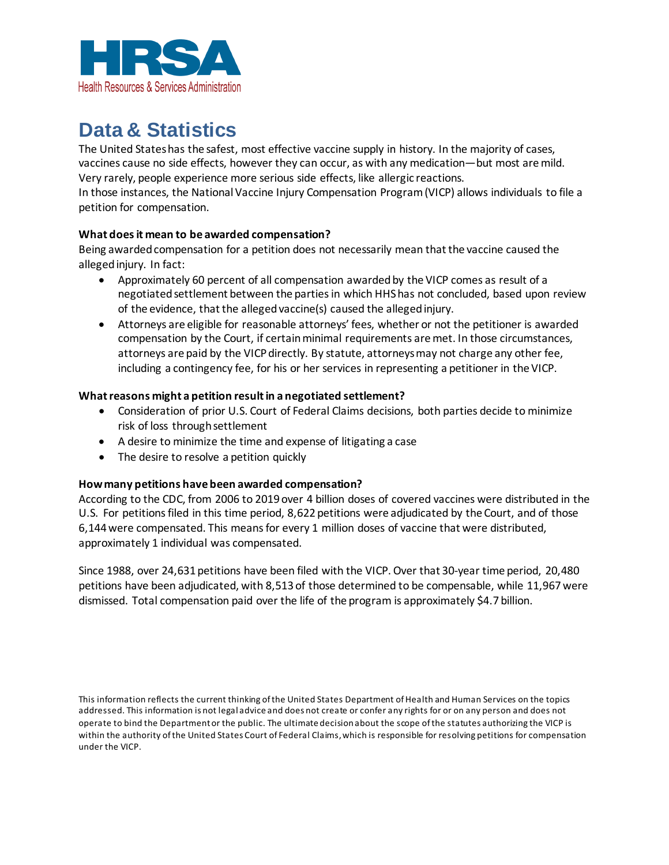

# **Data & Statistics**

The United States has the safest, most effective vaccine supply in history. In the majority of cases, vaccines cause no side effects, however they can occur, as with any medication—but most are mild. Very rarely, people experience more serious side effects, like allergic reactions. In those instances, the National Vaccine Injury Compensation Program (VICP) allows individuals to file a petition for compensation.

### **What does it mean to be awarded compensation?**

Being awarded compensation for a petition does not necessarily mean that the vaccine caused the alleged injury. In fact:

- Approximately 60 percent of all compensation awarded by the VICP comes as result of a negotiated settlement between the parties in which HHS has not concluded, based upon review of the evidence, that the alleged vaccine(s) caused the alleged injury.
- Attorneys are eligible for reasonable attorneys' fees, whether or not the petitioner is awarded compensation by the Court, if certain minimal requirements are met. In those circumstances, attorneys are paid by the VICP directly. By statute, attorneys may not charge any other fee, including a contingency fee, for his or her services in representing a petitioner in the VICP.

### **What reasons might a petition result in a negotiated settlement?**

- Consideration of prior U.S. Court of Federal Claims decisions, both parties decide to minimize risk of loss through settlement
- A desire to minimize the time and expense of litigating a case
- The desire to resolve a petition quickly

#### **How many petitions have been awarded compensation?**

According to the CDC, from 2006 to 2019 over 4 billion doses of covered vaccines were distributed in the U.S. For petitions filed in this time period, 8,622 petitions were adjudicated by the Court, and of those 6,144were compensated. This means for every 1 million doses of vaccine that were distributed, approximately 1 individual was compensated.

Since 1988, over 24,631 petitions have been filed with the VICP. Over that 30-year time period, 20,480 petitions have been adjudicated, with 8,513 of those determined to be compensable, while 11,967 were dismissed. Total compensation paid over the life of the program is approximately \$4.7 billion.

This information reflects the current thinking of the United States Department of Health and Human Services on the topics addressed. This information is not legal advice and does not create or confer any rights for or on any person and does not operate to bind the Department or the public. The ultimate decision about the scope of the statutes authorizing the VICP is within the authority of the United States Court of Federal Claims, which is responsible for resolving petitions for compensation under the VICP.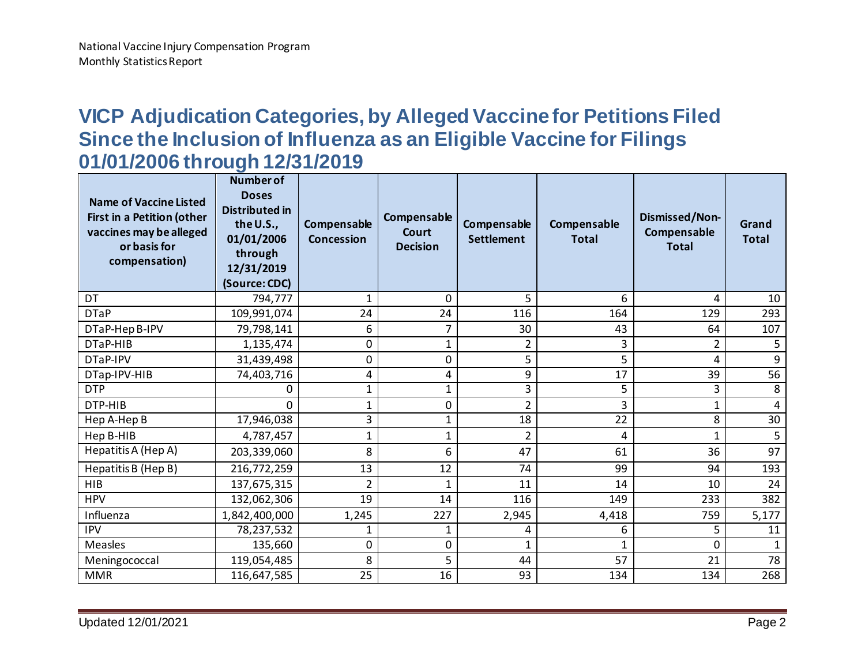### **VICP Adjudication Categories, by Alleged Vaccine for Petitions Filed Since the Inclusion of Influenza as an Eligible Vaccine for Filings 01/01/2006 through 12/31/2019**

| <b>Name of Vaccine Listed</b><br>First in a Petition (other<br>vaccines may be alleged<br>or basis for<br>compensation) | <b>Number of</b><br><b>Doses</b><br><b>Distributed in</b><br>the U.S.,<br>01/01/2006<br>through<br>12/31/2019<br>(Source: CDC) | Compensable<br><b>Concession</b> | Compensable<br>Court<br><b>Decision</b> | Compensable<br><b>Settlement</b> | Compensable<br><b>Total</b> | Dismissed/Non-<br>Compensable<br><b>Total</b> | Grand<br><b>Total</b> |
|-------------------------------------------------------------------------------------------------------------------------|--------------------------------------------------------------------------------------------------------------------------------|----------------------------------|-----------------------------------------|----------------------------------|-----------------------------|-----------------------------------------------|-----------------------|
| <b>DT</b>                                                                                                               | 794,777                                                                                                                        | $\mathbf{1}$                     | 0                                       | 5                                | 6                           | 4                                             | 10                    |
| <b>DTaP</b>                                                                                                             | 109,991,074                                                                                                                    | 24                               | 24                                      | 116                              | 164                         | 129                                           | 293                   |
| DTaP-Hep B-IPV                                                                                                          | 79,798,141                                                                                                                     | 6                                | 7                                       | 30                               | 43                          | 64                                            | 107                   |
| DTaP-HIB                                                                                                                | 1,135,474                                                                                                                      | 0                                | 1                                       | $\overline{2}$                   | 3                           | 2                                             | 5                     |
| DTaP-IPV                                                                                                                | 31,439,498                                                                                                                     | 0                                | 0                                       | 5                                | 5                           | 4                                             | 9                     |
| DTap-IPV-HIB                                                                                                            | 74,403,716                                                                                                                     | 4                                | 4                                       | 9                                | 17                          | 39                                            | 56                    |
| <b>DTP</b>                                                                                                              | 0                                                                                                                              |                                  | 1                                       | 3                                | 5                           | 3                                             | 8                     |
| DTP-HIB                                                                                                                 | 0                                                                                                                              | 1                                | 0                                       | $\overline{2}$                   | 3                           | 1                                             | 4                     |
| Hep A-Hep B                                                                                                             | 17,946,038                                                                                                                     | 3                                | 1                                       | 18                               | 22                          | 8                                             | 30                    |
| Hep B-HIB                                                                                                               | 4,787,457                                                                                                                      | $\mathbf{1}$                     | $\mathbf 1$                             | $\overline{2}$                   | 4                           | 1                                             | 5                     |
| Hepatitis A (Hep A)                                                                                                     | 203,339,060                                                                                                                    | 8                                | 6                                       | 47                               | 61                          | 36                                            | 97                    |
| Hepatitis B (Hep B)                                                                                                     | 216,772,259                                                                                                                    | 13                               | 12                                      | 74                               | 99                          | 94                                            | 193                   |
| <b>HIB</b>                                                                                                              | 137,675,315                                                                                                                    | $\overline{2}$                   | 1                                       | 11                               | 14                          | 10                                            | 24                    |
| <b>HPV</b>                                                                                                              | 132,062,306                                                                                                                    | 19                               | 14                                      | 116                              | 149                         | 233                                           | 382                   |
| Influenza                                                                                                               | 1,842,400,000                                                                                                                  | 1,245                            | 227                                     | 2,945                            | 4,418                       | 759                                           | 5,177                 |
| <b>IPV</b>                                                                                                              | 78,237,532                                                                                                                     | 1                                | 1                                       | 4                                | 6                           | 5                                             | 11                    |
| <b>Measles</b>                                                                                                          | 135,660                                                                                                                        | 0                                | 0                                       | $\mathbf{1}$                     | 1                           | $\mathbf 0$                                   | $\mathbf{1}$          |
| Meningococcal                                                                                                           | 119,054,485                                                                                                                    | 8                                | 5                                       | 44                               | 57                          | 21                                            | 78                    |
| <b>MMR</b>                                                                                                              | 116,647,585                                                                                                                    | 25                               | 16                                      | 93                               | 134                         | 134                                           | 268                   |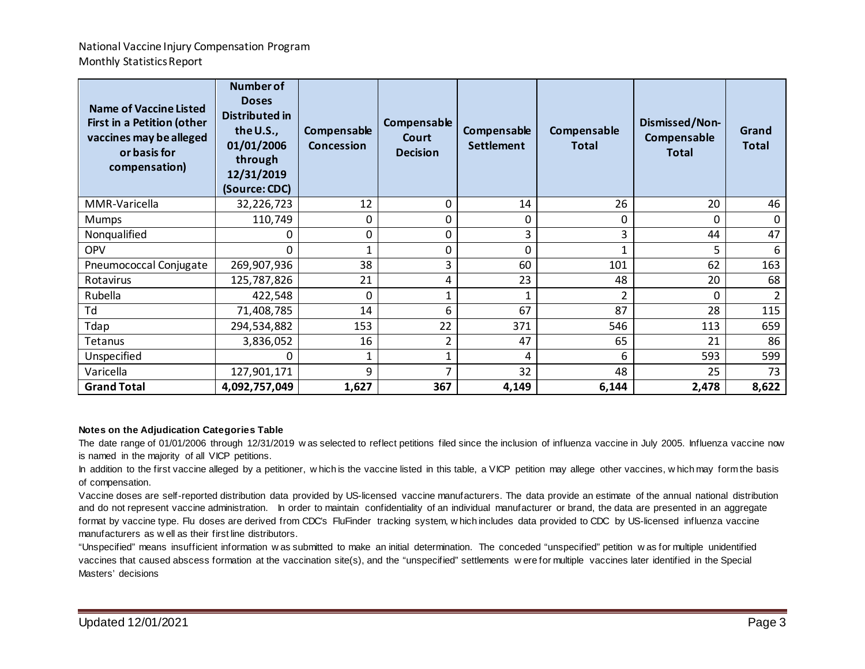| Name of Vaccine Listed<br><b>First in a Petition (other</b><br>vaccines may be alleged<br>or basis for<br>compensation) | <b>Number of</b><br><b>Doses</b><br>Distributed in<br>the U.S.,<br>01/01/2006<br>through<br>12/31/2019<br>(Source: CDC) | Compensable<br><b>Concession</b> | Compensable<br>Court<br><b>Decision</b> | Compensable<br><b>Settlement</b> | Compensable<br><b>Total</b> | <b>Dismissed/Non-</b><br>Compensable<br><b>Total</b> | Grand<br><b>Total</b> |
|-------------------------------------------------------------------------------------------------------------------------|-------------------------------------------------------------------------------------------------------------------------|----------------------------------|-----------------------------------------|----------------------------------|-----------------------------|------------------------------------------------------|-----------------------|
| MMR-Varicella                                                                                                           | 32,226,723                                                                                                              | 12                               | 0                                       | 14                               | 26                          | 20                                                   | 46                    |
| <b>Mumps</b>                                                                                                            | 110,749                                                                                                                 | 0                                | 0                                       | 0                                | 0                           | $\Omega$                                             | 0                     |
| Nonqualified                                                                                                            | 0                                                                                                                       | 0                                | 0                                       | 3                                | 3                           | 44                                                   | 47                    |
| <b>OPV</b>                                                                                                              | 0                                                                                                                       |                                  | 0                                       | 0                                | 1                           | 5                                                    | 6                     |
| Pneumococcal Conjugate                                                                                                  | 269,907,936                                                                                                             | 38                               | 3                                       | 60                               | 101                         | 62                                                   | 163                   |
| Rotavirus                                                                                                               | 125,787,826                                                                                                             | 21                               | 4                                       | 23                               | 48                          | 20                                                   | 68                    |
| Rubella                                                                                                                 | 422,548                                                                                                                 | $\mathbf 0$                      |                                         |                                  | 2                           | $\Omega$                                             |                       |
| Td                                                                                                                      | 71,408,785                                                                                                              | 14                               | 6                                       | 67                               | 87                          | 28                                                   | 115                   |
| Tdap                                                                                                                    | 294,534,882                                                                                                             | 153                              | 22                                      | 371                              | 546                         | 113                                                  | 659                   |
| Tetanus                                                                                                                 | 3,836,052                                                                                                               | 16                               | $\overline{2}$                          | 47                               | 65                          | 21                                                   | 86                    |
| Unspecified                                                                                                             | 0                                                                                                                       |                                  |                                         | 4                                | 6                           | 593                                                  | 599                   |
| Varicella                                                                                                               | 127,901,171                                                                                                             | 9                                |                                         | 32                               | 48                          | 25                                                   | 73                    |
| <b>Grand Total</b>                                                                                                      | 4,092,757,049                                                                                                           | 1,627                            | 367                                     | 4,149                            | 6,144                       | 2,478                                                | 8,622                 |

#### **Notes on the Adjudication Categories Table**

The date range of 01/01/2006 through 12/31/2019 w as selected to reflect petitions filed since the inclusion of influenza vaccine in July 2005. Influenza vaccine now is named in the majority of all VICP petitions.

In addition to the first vaccine alleged by a petitioner, w hich is the vaccine listed in this table, a VICP petition may allege other vaccines, w hich may form the basis of compensation.

Vaccine doses are self-reported distribution data provided by US-licensed vaccine manufacturers. The data provide an estimate of the annual national distribution and do not represent vaccine administration. In order to maintain confidentiality of an individual manufacturer or brand, the data are presented in an aggregate format by vaccine type. Flu doses are derived from CDC's FluFinder tracking system, w hich includes data provided to CDC by US-licensed influenza vaccine manufacturers as w ell as their first line distributors.

"Unspecified" means insufficient information w as submitted to make an initial determination. The conceded "unspecified" petition w as for multiple unidentified vaccines that caused abscess formation at the vaccination site(s), and the "unspecified" settlements w ere for multiple vaccines later identified in the Special Masters' decisions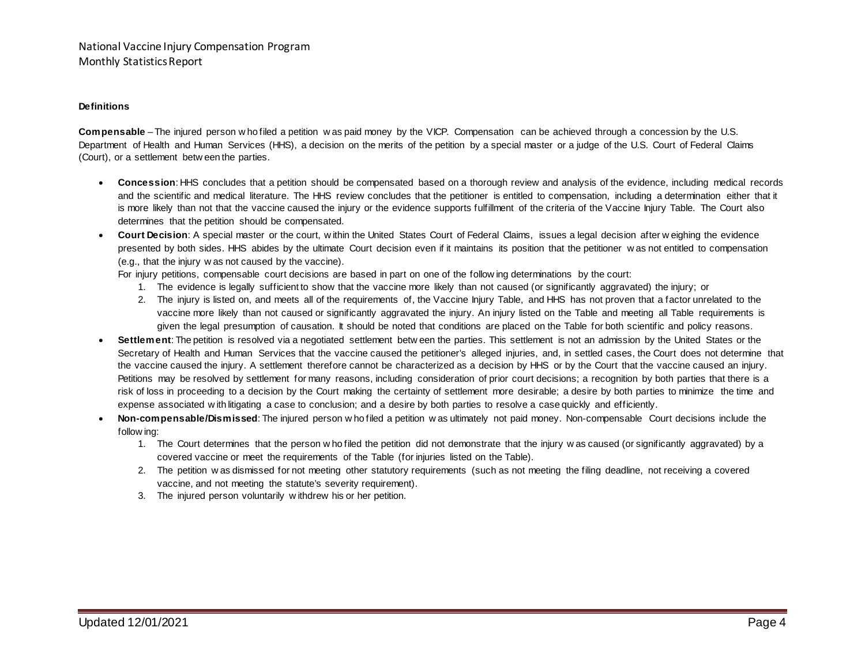### National Vaccine Injury Compensation Program Monthly Statistics Report

#### **Definitions**

**Compensable** – The injured person w ho filed a petition w as paid money by the VICP. Compensation can be achieved through a concession by the U.S. Department of Health and Human Services (HHS), a decision on the merits of the petition by a special master or a judge of the U.S. Court of Federal Claims (Court), or a settlement betw een the parties.

- Concession: HHS concludes that a petition should be compensated based on a thorough review and analysis of the evidence, including medical records and the scientific and medical literature. The HHS review concludes that the petitioner is entitled to compensation, including a determination either that it is more likely than not that the vaccine caused the injury or the evidence supports fulfillment of the criteria of the Vaccine Injury Table. The Court also determines that the petition should be compensated.
- **Court Decision**: A special master or the court, w ithin the United States Court of Federal Claims, issues a legal decision after w eighing the evidence presented by both sides. HHS abides by the ultimate Court decision even if it maintains its position that the petitioner w as not entitled to compensation (e.g., that the injury w as not caused by the vaccine).

For injury petitions, compensable court decisions are based in part on one of the follow ing determinations by the court:

- 1. The evidence is legally sufficient to show that the vaccine more likely than not caused (or significantly aggravated) the injury; or
- 2. The injury is listed on, and meets all of the requirements of, the Vaccine Injury Table, and HHS has not proven that a factor unrelated to the vaccine more likely than not caused or significantly aggravated the injury. An injury listed on the Table and meeting all Table requirements is given the legal presumption of causation. It should be noted that conditions are placed on the Table for both scientific and policy reasons.
- **Settlement**: The petition is resolved via a negotiated settlement betw een the parties. This settlement is not an admission by the United States or the Secretary of Health and Human Services that the vaccine caused the petitioner's alleged injuries, and, in settled cases, the Court does not determine that the vaccine caused the injury. A settlement therefore cannot be characterized as a decision by HHS or by the Court that the vaccine caused an injury. Petitions may be resolved by settlement for many reasons, including consideration of prior court decisions; a recognition by both parties that there is a risk of loss in proceeding to a decision by the Court making the certainty of settlement more desirable; a desire by both parties to minimize the time and expense associated w ith litigating a case to conclusion; and a desire by both parties to resolve a case quickly and efficiently.
- **Non-compensable/Dismissed**: The injured person w ho filed a petition w as ultimately not paid money. Non-compensable Court decisions include the follow ing:
	- 1. The Court determines that the person w ho filed the petition did not demonstrate that the injury w as caused (or significantly aggravated) by a covered vaccine or meet the requirements of the Table (for injuries listed on the Table).
	- 2. The petition w as dismissed for not meeting other statutory requirements (such as not meeting the filing deadline, not receiving a covered vaccine, and not meeting the statute's severity requirement).
	- 3. The injured person voluntarily w ithdrew his or her petition.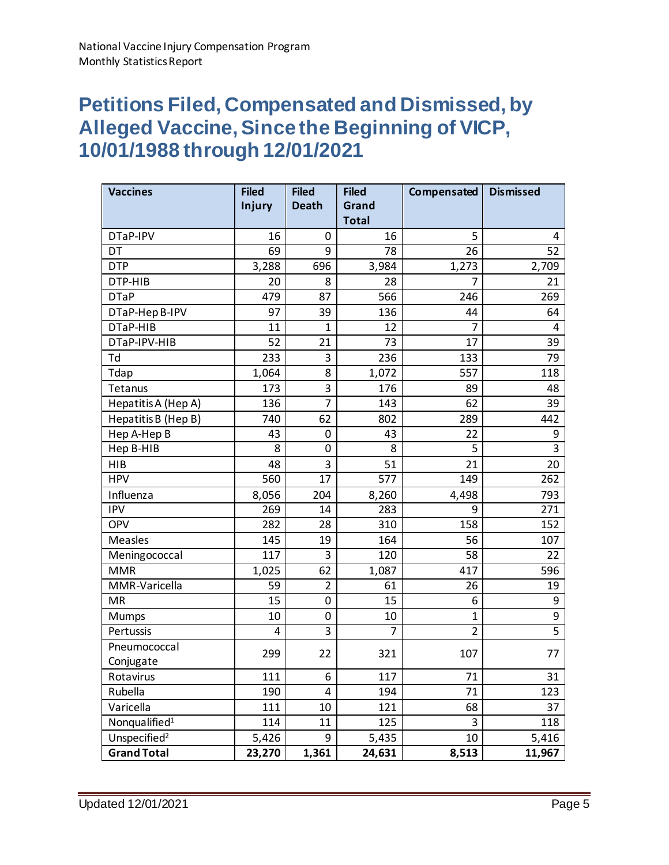### **Petitions Filed, Compensated and Dismissed, by Alleged Vaccine, Since the Beginning of VICP, 10/01/1988 through 12/01/2021**

| <b>Vaccines</b>           | <b>Filed</b> | <b>Filed</b>     | <b>Filed</b>                 | Compensated    | <b>Dismissed</b> |
|---------------------------|--------------|------------------|------------------------------|----------------|------------------|
|                           | Injury       | <b>Death</b>     | <b>Grand</b><br><b>Total</b> |                |                  |
| DTaP-IPV                  | 16           | 0                | 16                           | 5              | 4                |
| DT                        | 69           | 9                | 78                           | 26             | 52               |
| <b>DTP</b>                | 3,288        | 696              | 3,984                        | 1,273          | 2,709            |
| DTP-HIB                   | 20           | 8                | 28                           | 7              | 21               |
| <b>DTaP</b>               | 479          | 87               | 566                          | 246            | 269              |
| DTaP-Hep B-IPV            | 97           | 39               | 136                          | 44             | 64               |
| DTaP-HIB                  | 11           | $\mathbf{1}$     | 12                           | 7              | 4                |
| DTaP-IPV-HIB              | 52           | 21               | 73                           | 17             | 39               |
| Td                        | 233          | 3                | 236                          | 133            | 79               |
| Tdap                      | 1,064        | 8                | 1,072                        | 557            | 118              |
| Tetanus                   | 173          | 3                | 176                          | 89             | 48               |
| Hepatitis A (Hep A)       | 136          | 7                | 143                          | 62             | 39               |
| Hepatitis B (Hep B)       | 740          | 62               | 802                          | 289            | 442              |
| Hep A-Hep B               | 43           | $\mathbf 0$      | 43                           | 22             | 9                |
| Hep B-HIB                 | 8            | $\mathbf 0$      | 8                            | 5              | $\overline{3}$   |
| <b>HIB</b>                | 48           | 3                | 51                           | 21             | 20               |
| <b>HPV</b>                | 560          | 17               | 577                          | 149            | 262              |
| Influenza                 | 8,056        | 204              | 8,260                        | 4,498          | 793              |
| <b>IPV</b>                | 269          | 14               | 283                          | 9              | 271              |
| <b>OPV</b>                | 282          | 28               | 310                          | 158            | 152              |
| <b>Measles</b>            | 145          | 19               | 164                          | 56             | 107              |
| Meningococcal             | 117          | 3                | 120                          | 58             | 22               |
| <b>MMR</b>                | 1,025        | 62               | 1,087                        | 417            | 596              |
| MMR-Varicella             | 59           | $\overline{2}$   | 61                           | 26             | 19               |
| <b>MR</b>                 | 15           | $\boldsymbol{0}$ | 15                           | 6              | 9                |
| <b>Mumps</b>              | 10           | 0                | 10                           | 1              | $\boldsymbol{9}$ |
| Pertussis                 | 4            | 3                | 7                            | $\overline{2}$ | $\overline{5}$   |
| Pneumococcal              | 299          | 22               | 321                          | 107            | 77               |
| Conjugate                 |              |                  |                              |                |                  |
| Rotavirus                 | 111          | 6                | 117                          | 71             | 31               |
| Rubella                   | 190          | 4                | 194                          | 71             | 123              |
| Varicella                 | 111          | 10               | 121                          | 68             | 37               |
| Nonqualified <sup>1</sup> | 114          | 11               | 125                          | 3              | 118              |
| Unspecified <sup>2</sup>  | 5,426        | 9                | 5,435                        | 10             | 5,416            |
| <b>Grand Total</b>        | 23,270       | 1,361            | 24,631                       | 8,513          | 11,967           |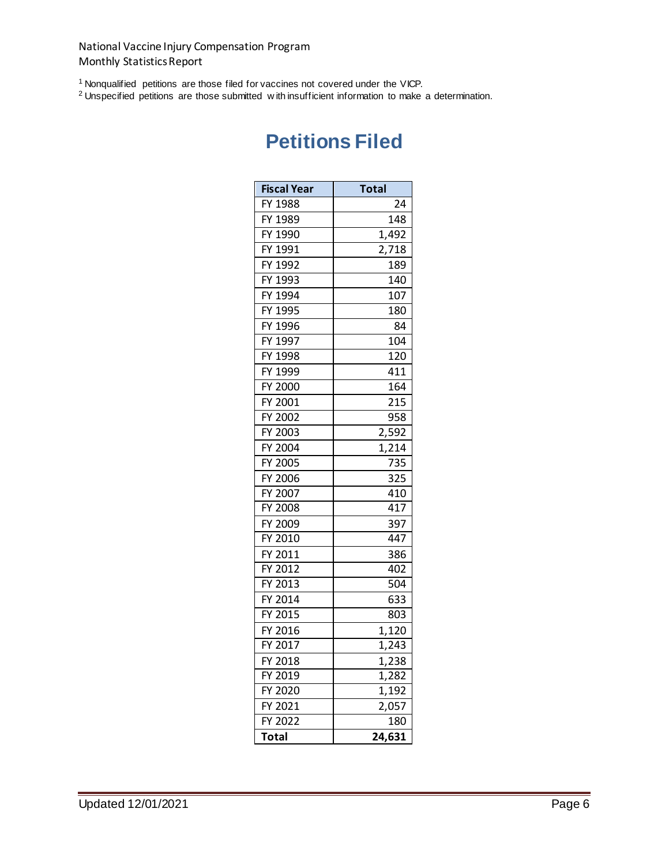National Vaccine Injury Compensation Program Monthly Statistics Report

<sup>1</sup> Nonqualified petitions are those filed for vaccines not covered under the VICP.

<sup>2</sup> Unspecified petitions are those submitted w ith insufficient information to make a determination.

| <b>Fiscal Year</b> | <b>Total</b>       |
|--------------------|--------------------|
| FY 1988            | 24                 |
| FY 1989            | 148                |
| FY 1990            | 1,492              |
| FY 1991            | $\overline{2,}718$ |
| FY 1992            | 189                |
| FY 1993            | 140                |
| FY 1994            | 107                |
| FY 1995            | 180                |
| FY 1996            | 84                 |
| FY 1997            | 104                |
| FY 1998            | 120                |
| FY 1999            | 411                |
| FY 2000            | 164                |
| FY 2001            | 215                |
| FY 2002            | 958                |
| FY 2003            | 2,592              |
| FY 2004            | 1,214              |
| FY 2005            | 735                |
| FY 2006            | 325                |
| FY 2007            | 410                |
| FY 2008            | 417                |
| FY 2009            | 397                |
| FY 2010            | 447                |
| FY 2011            | 386                |
| FY 2012            | 402                |
| FY 2013            | 504                |
| FY 2014            | 633                |
| FY 2015            | 803                |
| FY 2016            | 1,120              |
| FY 2017            | 1,243              |
| FY 2018            | 1,238              |
| FY 2019            | 1,282              |
| FY 2020            | 1,192              |
| FY 2021            | 2,057              |
| FY 2022            | 180                |
| <b>Total</b>       | 24,631             |

# **Petitions Filed**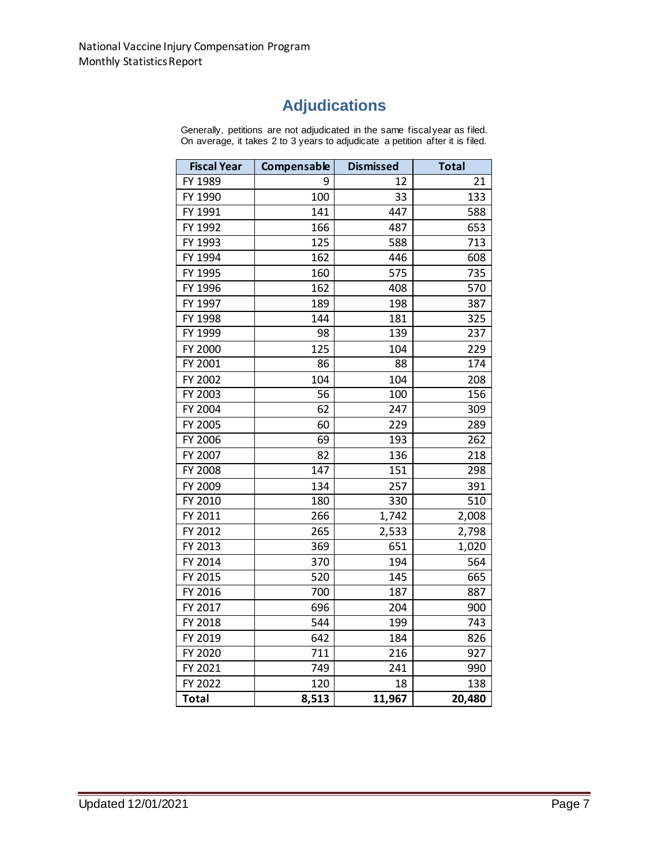### **Adjudications**

Generally, petitions are not adjudicated in the same fiscal year as filed. On average, it takes 2 to 3 years to adjudicate a petition after it is filed.

| <b>Fiscal Year</b> | Compensable      | <b>Dismissed</b>    | <b>Total</b> |
|--------------------|------------------|---------------------|--------------|
| FY 1989            | 9                | 12                  | 21           |
| FY 1990            | 100              | 33                  | 133          |
| FY 1991            | 141              | 447                 | 588          |
| FY 1992            | 166              | 487                 | 653          |
| FY 1993            | 125              | 588                 | 713          |
| FY 1994            | 162              | 446                 | 608          |
| FY 1995            | 160              | 575                 | 735          |
| FY 1996            | 162              | 408                 | 570          |
| FY 1997            | 189              | 198                 | 387          |
| FY 1998            | 144              | 181                 | 325          |
| FY 1999            | 98               | 139                 | 237          |
| FY 2000            | 125              | 104                 | 229          |
| FY 2001            | 86               | 88                  | 174          |
| FY 2002            | 104              | 104                 | 208          |
| FY 2003            | 56               | 100                 | 156          |
| FY 2004            | 62               | 247                 | 309          |
| FY 2005            | 60               | 229                 | 289          |
| FY 2006            | 69               | 193                 | 262          |
| FY 2007            | 82               | 136                 | 218          |
| <b>FY 2008</b>     | $\overline{147}$ | 151                 | 298          |
| FY 2009            | 134              | 257                 | 391          |
| FY 2010            | 180              | 330                 | 510          |
| FY 2011            | 266              | 1,742               | 2,008        |
| FY 2012            | 265              | 2,533               | 2,798        |
| FY 2013            | 369              | 651                 | 1,020        |
| FY 2014            | 370              | 194                 | 564          |
| FY 2015            | 520              | 145                 | 665          |
| FY 2016            | 700              | 187                 | 887          |
| FY 2017            | 696              | 204                 | 900          |
| FY 2018            | 544              | 199                 | 743          |
| FY 2019            | 642              | 184                 | 826          |
| FY 2020            | 711              | 216                 | 927          |
| FY 2021            | 749              | 241                 | 990          |
| FY 2022            | 120              | 18                  | 138          |
| <b>Total</b>       | 8,513            | $\overline{11,967}$ | 20,480       |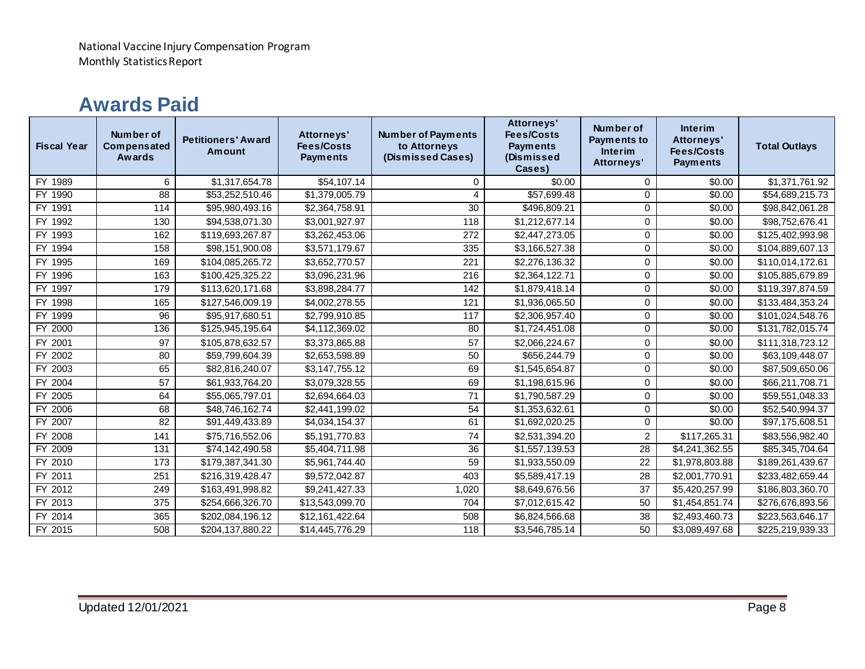# **Awards Paid**

| <b>Fiscal Year</b> | Number of<br>Compensated<br>Awards | <b>Petitioners' Award</b><br><b>Amount</b> | Attorneys'<br><b>Fees/Costs</b><br><b>Payments</b> | <b>Number of Payments</b><br>to Attorneys<br>(Dismissed Cases) | Attorneys'<br><b>Fees/Costs</b><br><b>Payments</b><br>(Dismissed<br>Cases) | Number of<br><b>Payments to</b><br><b>Interim</b><br>Attorneys' | <b>Interim</b><br>Attorneys'<br><b>Fees/Costs</b><br><b>Payments</b> | <b>Total Outlays</b> |
|--------------------|------------------------------------|--------------------------------------------|----------------------------------------------------|----------------------------------------------------------------|----------------------------------------------------------------------------|-----------------------------------------------------------------|----------------------------------------------------------------------|----------------------|
| FY 1989            | 6                                  | \$1,317,654.78                             | \$54,107.14                                        | 0                                                              | \$0.00                                                                     | $\Omega$                                                        | \$0.00                                                               | \$1,371,761.92       |
| FY 1990            | $\overline{88}$                    | \$53,252,510.46                            | \$1,379,005.79                                     | $\overline{4}$                                                 | \$57,699.48                                                                | 0                                                               | \$0.00                                                               | \$54,689,215.73      |
| FY 1991            | 114                                | \$95,980,493.16                            | \$2,364,758.91                                     | 30                                                             | \$496,809.21                                                               | 0                                                               | \$0.00                                                               | \$98,842,061.28      |
| FY 1992            | 130                                | \$94,538,071.30                            | \$3,001,927.97                                     | 118                                                            | \$1,212,677.14                                                             | 0                                                               | \$0.00                                                               | \$98,752,676.41      |
| FY 1993            | 162                                | \$119,693,267.87                           | \$3,262,453.06                                     | 272                                                            | \$2,447,273.05                                                             | 0                                                               | \$0.00                                                               | \$125,402,993.98     |
| FY 1994            | 158                                | \$98,151,900.08                            | \$3,571,179.67                                     | 335                                                            | \$3,166,527.38                                                             | 0                                                               | \$0.00                                                               | \$104,889,607.13     |
| FY 1995            | 169                                | \$104,085,265.72                           | \$3,652,770.57                                     | 221                                                            | \$2,276,136.32                                                             | 0                                                               | \$0.00                                                               | \$110,014,172.61     |
| FY 1996            | 163                                | \$100,425,325.22                           | \$3,096,231.96                                     | $\overline{216}$                                               | \$2,364,122.71                                                             | 0                                                               | \$0.00                                                               | \$105,885,679.89     |
| FY 1997            | 179                                | \$113,620,171.68                           | \$3,898,284.77                                     | 142                                                            | \$1,879,418.14                                                             | 0                                                               | \$0.00                                                               | \$119,397,874.59     |
| FY 1998            | 165                                | \$127,546,009.19                           | \$4,002,278.55                                     | 121                                                            | \$1,936,065.50                                                             | 0                                                               | \$0.00                                                               | \$133,484,353.24     |
| FY 1999            | 96                                 | \$95,917,680.51                            | \$2,799,910.85                                     | 117                                                            | \$2,306,957.40                                                             | $\mathbf 0$                                                     | \$0.00                                                               | \$101,024,548.76     |
| FY 2000            | 136                                | \$125,945,195.64                           | \$4,112,369.02                                     | $\overline{80}$                                                | \$1,724,451.08                                                             | 0                                                               | \$0.00                                                               | \$131,782,015.74     |
| FY 2001            | 97                                 | \$105,878,632.57                           | \$3,373,865.88                                     | 57                                                             | \$2,066,224.67                                                             | $\mathbf 0$                                                     | \$0.00                                                               | \$111,318,723.12     |
| FY 2002            | 80                                 | \$59,799,604.39                            | \$2,653,598.89                                     | 50                                                             | \$656,244.79                                                               | 0                                                               | \$0.00                                                               | \$63,109,448.07      |
| FY 2003            | 65                                 | \$82,816,240.07                            | \$3,147,755.12                                     | 69                                                             | \$1,545,654.87                                                             | $\Omega$                                                        | \$0.00                                                               | \$87,509,650.06      |
| FY 2004            | 57                                 | \$61,933,764.20                            | \$3,079,328.55                                     | 69                                                             | \$1,198,615.96                                                             | 0                                                               | \$0.00                                                               | \$66,211,708.71      |
| FY 2005            | 64                                 | \$55,065,797.01                            | \$2,694,664.03                                     | 71                                                             | \$1,790,587.29                                                             | 0                                                               | \$0.00                                                               | \$59,551,048.33      |
| FY 2006            | 68                                 | \$48,746,162.74                            | \$2,441,199.02                                     | $\overline{54}$                                                | \$1,353,632.61                                                             | 0                                                               | \$0.00                                                               | \$52,540,994.37      |
| FY 2007            | 82                                 | \$91,449,433.89                            | \$4,034,154.37                                     | 61                                                             | \$1,692,020.25                                                             | 0                                                               | \$0.00                                                               | \$97,175,608.51      |
| FY 2008            | 141                                | \$75,716,552.06                            | \$5,191,770.83                                     | 74                                                             | \$2,531,394.20                                                             | $\overline{2}$                                                  | \$117,265.31                                                         | \$83,556,982.40      |
| FY 2009            | 131                                | \$74,142,490.58                            | \$5,404,711.98                                     | $\overline{36}$                                                | \$1,557,139.53                                                             | $\overline{28}$                                                 | \$4,241,362.55                                                       | \$85,345,704.64      |
| FY 2010            | 173                                | \$179,387,341.30                           | \$5,961,744.40                                     | 59                                                             | $\overline{1,933,550.09}$                                                  | 22                                                              | \$1,978,803.88                                                       | \$189,261,439.67     |
| FY 2011            | 251                                | \$216,319,428.47                           | \$9,572,042.87                                     | 403                                                            | \$5,589,417.19                                                             | 28                                                              | \$2,001,770.91                                                       | \$233,482,659.44     |
| FY 2012            | 249                                | \$163,491,998.82                           | \$9,241,427.33                                     | 1,020                                                          | \$8,649,676.56                                                             | 37                                                              | \$5,420,257.99                                                       | \$186,803,360.70     |
| FY 2013            | $\overline{375}$                   | \$254,666,326.70                           | \$13,543,099.70                                    | 704                                                            | \$7,012,615.42                                                             | 50                                                              | \$1,454,851.74                                                       | \$276,676,893.56     |
| FY 2014            | 365                                | \$202,084,196.12                           | \$12,161,422.64                                    | 508                                                            | \$6,824,566.68                                                             | 38                                                              | \$2,493,460.73                                                       | \$223,563,646.17     |
| FY 2015            | 508                                | \$204,137,880.22                           | \$14,445,776.29                                    | 118                                                            | \$3,546,785.14                                                             | 50                                                              | \$3,089,497.68                                                       | \$225,219,939.33     |